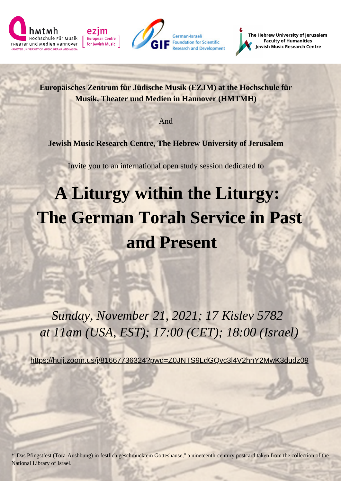





**The Hebrew University of Jerusalem Faculty of Humanities Jewish Music Research Centre**

**Europäisches Zentrum für Jüdische Musik (EZJM) at the Hochschule für Musik, Theater und Medien in Hannover (HMTMH)**

And

**Jewish Music Research Centre, The Hebrew University of Jerusalem**

Invite you to an international open study session dedicated to

## **A Liturgy within the Liturgy: The German Torah Service in Past and Present**

*Sunday, November 21, 2021; 17 Kislev 5782 at 11am (USA, EST); 17:00 (CET); 18:00 (Israel)*

<https://huji.zoom.us/j/81667736324?pwd=Z0JNTS9LdGQvc3l4V2hnY2MwK3dudz09>

\*"Das Pfingstfest (Tora-Aushbung) in festlich geschmucktem Gotteshause," a nineteenth-century postcard taken from the collection of the National Library of Israel.